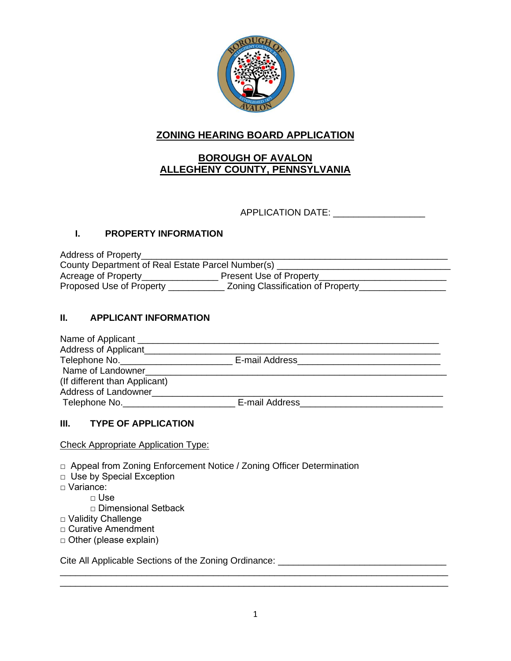

# **ZONING HEARING BOARD APPLICATION**

# **BOROUGH OF AVALON ALLEGHENY COUNTY, PENNSYLVANIA**

APPLICATION DATE:

### **I. PROPERTY INFORMATION**

Address of Property\_\_\_\_\_\_\_\_\_\_\_\_\_\_\_\_\_\_\_\_\_\_\_\_\_\_\_\_\_\_\_\_\_\_\_\_\_\_\_\_\_\_\_\_\_\_\_\_\_\_\_\_\_\_\_\_\_\_\_\_ County Department of Real Estate Parcel Number(s) \_\_\_\_\_\_\_\_\_\_\_\_\_\_\_\_\_\_\_\_\_\_\_\_\_\_\_\_\_\_\_ Acreage of Property\_\_\_\_\_\_\_\_\_\_\_\_\_\_\_\_\_\_\_\_\_\_\_ Present Use of Property\_\_\_\_\_\_\_\_\_\_\_\_\_\_\_\_\_\_\_\_\_\_\_\_\_\_\_\_\_\_\_\_\_ Proposed Use of Property \_\_\_\_\_\_\_\_\_\_\_\_\_\_ Zoning Classification of Property\_\_\_\_\_\_\_\_\_\_\_\_\_\_\_\_\_\_\_\_\_\_\_\_\_\_\_

### **II. APPLICANT INFORMATION**

| Name of Applicant ________________ |                                      |  |
|------------------------------------|--------------------------------------|--|
| Address of Applicant               |                                      |  |
| Telephone No.                      | E-mail Address <b>E-mail Address</b> |  |
| Name of Landowner                  |                                      |  |
| (If different than Applicant)      |                                      |  |
| Address of Landowner               |                                      |  |
| Telephone No.                      | E-mail Address                       |  |

### **III. TYPE OF APPLICATION**

Check Appropriate Application Type:

- □ Appeal from Zoning Enforcement Notice / Zoning Officer Determination
- □ Use by Special Exception
- □ Variance:
	- $\Box$  Use
	- □ Dimensional Setback
- □ Validity Challenge
- □ Curative Amendment
- □ Other (please explain)

Cite All Applicable Sections of the Zoning Ordinance:

\_\_\_\_\_\_\_\_\_\_\_\_\_\_\_\_\_\_\_\_\_\_\_\_\_\_\_\_\_\_\_\_\_\_\_\_\_\_\_\_\_\_\_\_\_\_\_\_\_\_\_\_\_\_\_\_\_\_\_\_\_\_\_\_\_\_\_\_\_\_\_\_\_\_\_\_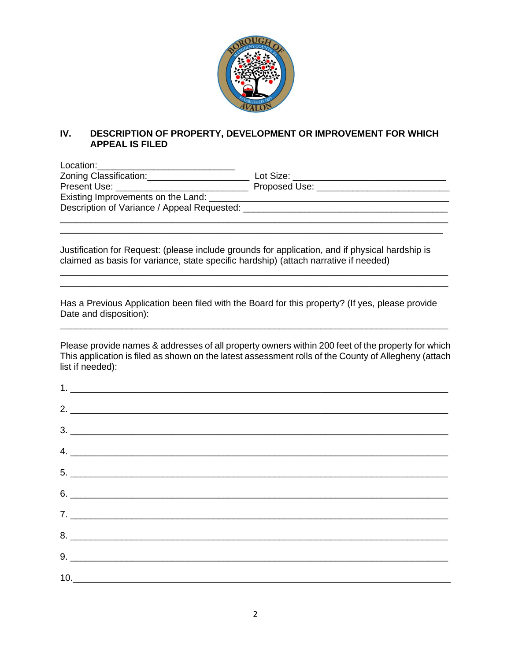

### **IV. DESCRIPTION OF PROPERTY, DEVELOPMENT OR IMPROVEMENT FOR WHICH APPEAL IS FILED**

| Location: ____________________________                                                                                                                                                                                         |                                                                                                                                                                                                                               |
|--------------------------------------------------------------------------------------------------------------------------------------------------------------------------------------------------------------------------------|-------------------------------------------------------------------------------------------------------------------------------------------------------------------------------------------------------------------------------|
| Zoning Classification: _________________                                                                                                                                                                                       | Lot Size: when the control of the control of the control of the control of the control of the control of the control of the control of the control of the control of the control of the control of the control of the control |
| Present Use: The Contract of the Contract of the Contract of the Contract of the Contract of the Contract of the Contract of the Contract of the Contract of the Contract of the Contract of the Contract of the Contract of t | Proposed Use: The Contract of the Contract of the Contract of the Contract of the Contract of the Contract of the Contract of the Contract of the Contract of the Contract of the Contract of the Contract of the Contract of |
| Existing Improvements on the Land:                                                                                                                                                                                             |                                                                                                                                                                                                                               |
| Description of Variance / Appeal Requested: ___                                                                                                                                                                                |                                                                                                                                                                                                                               |
|                                                                                                                                                                                                                                |                                                                                                                                                                                                                               |

Justification for Request: (please include grounds for application, and if physical hardship is claimed as basis for variance, state specific hardship) (attach narrative if needed)

\_\_\_\_\_\_\_\_\_\_\_\_\_\_\_\_\_\_\_\_\_\_\_\_\_\_\_\_\_\_\_\_\_\_\_\_\_\_\_\_\_\_\_\_\_\_\_\_\_\_\_\_\_\_\_\_\_\_\_\_\_\_\_\_\_\_\_\_\_\_\_\_\_\_\_

\_\_\_\_\_\_\_\_\_\_\_\_\_\_\_\_\_\_\_\_\_\_\_\_\_\_\_\_\_\_\_\_\_\_\_\_\_\_\_\_\_\_\_\_\_\_\_\_\_\_\_\_\_\_\_\_\_\_\_\_\_\_\_\_\_\_\_\_\_\_\_\_\_\_\_\_ \_\_\_\_\_\_\_\_\_\_\_\_\_\_\_\_\_\_\_\_\_\_\_\_\_\_\_\_\_\_\_\_\_\_\_\_\_\_\_\_\_\_\_\_\_\_\_\_\_\_\_\_\_\_\_\_\_\_\_\_\_\_\_\_\_\_\_\_\_\_\_\_\_\_\_\_

Has a Previous Application been filed with the Board for this property? (If yes, please provide Date and disposition):

\_\_\_\_\_\_\_\_\_\_\_\_\_\_\_\_\_\_\_\_\_\_\_\_\_\_\_\_\_\_\_\_\_\_\_\_\_\_\_\_\_\_\_\_\_\_\_\_\_\_\_\_\_\_\_\_\_\_\_\_\_\_\_\_\_\_\_\_\_\_\_\_\_\_\_\_

Please provide names & addresses of all property owners within 200 feet of the property for which This application is filed as shown on the latest assessment rolls of the County of Allegheny (attach list if needed):

| 2.                            |  |  |
|-------------------------------|--|--|
|                               |  |  |
| $4.$ $\overline{\phantom{a}}$ |  |  |
|                               |  |  |
|                               |  |  |
|                               |  |  |
|                               |  |  |
|                               |  |  |
| 10.                           |  |  |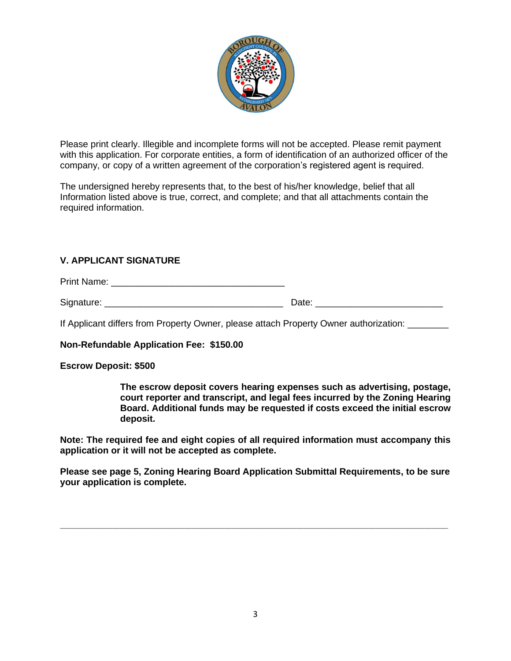

Please print clearly. Illegible and incomplete forms will not be accepted. Please remit payment with this application. For corporate entities, a form of identification of an authorized officer of the company, or copy of a written agreement of the corporation's registered agent is required.

The undersigned hereby represents that, to the best of his/her knowledge, belief that all Information listed above is true, correct, and complete; and that all attachments contain the required information.

#### **V. APPLICANT SIGNATURE**

Print Name: \_\_\_\_\_\_\_\_\_\_\_\_\_\_\_\_\_\_\_\_\_\_\_\_\_\_\_\_\_\_\_\_\_\_

Signature: \_\_\_\_\_\_\_\_\_\_\_\_\_\_\_\_\_\_\_\_\_\_\_\_\_\_\_\_\_\_\_\_\_\_\_ Date: \_\_\_\_\_\_\_\_\_\_\_\_\_\_\_\_\_\_\_\_\_\_\_\_\_

If Applicant differs from Property Owner, please attach Property Owner authorization:

**Non-Refundable Application Fee: \$150.00**

#### **Escrow Deposit: \$500**

**The escrow deposit covers hearing expenses such as advertising, postage, court reporter and transcript, and legal fees incurred by the Zoning Hearing Board. Additional funds may be requested if costs exceed the initial escrow deposit.**

**Note: The required fee and eight copies of all required information must accompany this application or it will not be accepted as complete.**

**Please see page 5, Zoning Hearing Board Application Submittal Requirements, to be sure your application is complete.** 

**\_\_\_\_\_\_\_\_\_\_\_\_\_\_\_\_\_\_\_\_\_\_\_\_\_\_\_\_\_\_\_\_\_\_\_\_\_\_\_\_\_\_\_\_\_\_\_\_\_\_\_\_\_\_\_\_\_\_\_\_\_\_\_\_\_\_\_\_\_\_\_\_\_\_\_\_**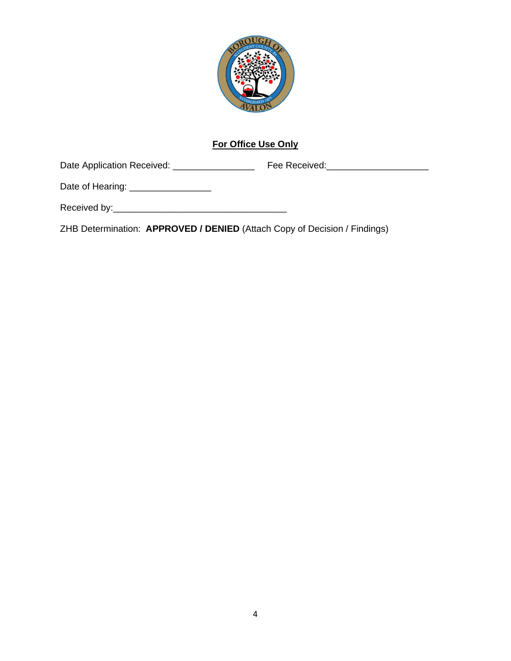

# **For Office Use Only**

Date Application Received: \_\_\_\_\_\_\_\_\_\_\_\_\_\_\_\_ Fee Received:\_\_\_\_\_\_\_\_\_\_\_\_\_\_\_\_\_\_\_\_

Date of Hearing: \_\_\_\_\_\_\_\_\_\_\_\_\_\_\_\_\_\_\_\_

Received by:\_\_\_\_\_\_\_\_\_\_\_\_\_\_\_\_\_\_\_\_\_\_\_\_\_\_\_\_\_\_\_\_\_\_

ZHB Determination: **APPROVED / DENIED** (Attach Copy of Decision / Findings)